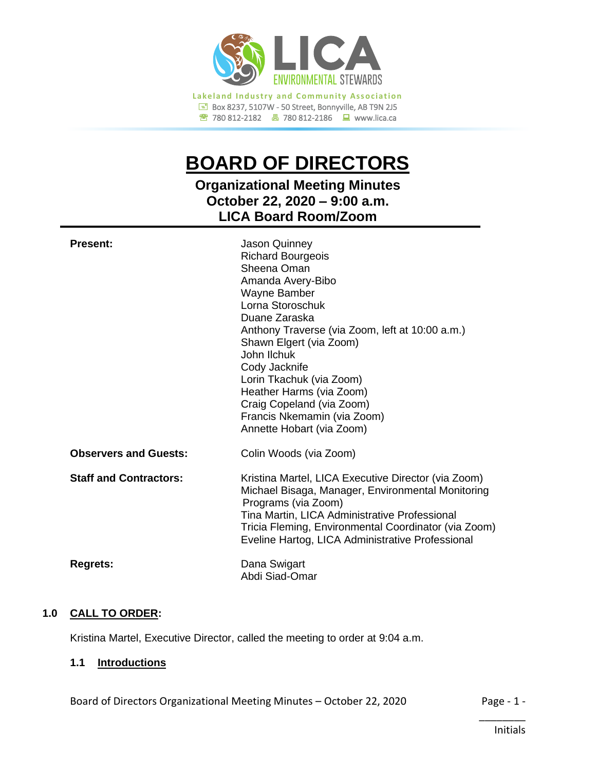

# **BOARD OF DIRECTORS**

## **Organizational Meeting Minutes October 22, 2020 – 9:00 a.m. LICA Board Room/Zoom**

| <b>Present:</b>               | Jason Quinney<br><b>Richard Bourgeois</b><br>Sheena Oman<br>Amanda Avery-Bibo<br>Wayne Bamber<br>Lorna Storoschuk<br>Duane Zaraska<br>Anthony Traverse (via Zoom, left at 10:00 a.m.)<br>Shawn Elgert (via Zoom)<br>John Ilchuk<br>Cody Jacknife<br>Lorin Tkachuk (via Zoom)<br>Heather Harms (via Zoom)<br>Craig Copeland (via Zoom)<br>Francis Nkemamin (via Zoom)<br>Annette Hobart (via Zoom) |
|-------------------------------|---------------------------------------------------------------------------------------------------------------------------------------------------------------------------------------------------------------------------------------------------------------------------------------------------------------------------------------------------------------------------------------------------|
| <b>Observers and Guests:</b>  | Colin Woods (via Zoom)                                                                                                                                                                                                                                                                                                                                                                            |
| <b>Staff and Contractors:</b> | Kristina Martel, LICA Executive Director (via Zoom)<br>Michael Bisaga, Manager, Environmental Monitoring<br>Programs (via Zoom)<br>Tina Martin, LICA Administrative Professional<br>Tricia Fleming, Environmental Coordinator (via Zoom)<br>Eveline Hartog, LICA Administrative Professional                                                                                                      |
| <b>Regrets:</b>               | Dana Swigart<br>Abdi Siad-Omar                                                                                                                                                                                                                                                                                                                                                                    |

## **1.0 CALL TO ORDER:**

Kristina Martel, Executive Director, called the meeting to order at 9:04 a.m.

## **1.1 Introductions**

Board of Directors Organizational Meeting Minutes - October 22, 2020 Page - 1 -

\_\_\_\_\_\_\_\_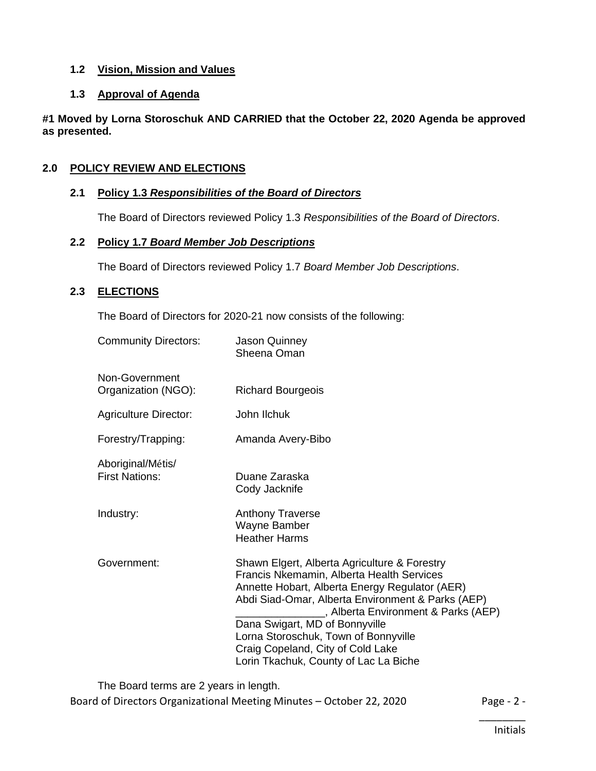## **1.2 Vision, Mission and Values**

## **1.3 Approval of Agenda**

**#1 Moved by Lorna Storoschuk AND CARRIED that the October 22, 2020 Agenda be approved as presented.**

## **2.0 POLICY REVIEW AND ELECTIONS**

## **2.1 Policy 1.3** *Responsibilities of the Board of Directors*

The Board of Directors reviewed Policy 1.3 *Responsibilities of the Board of Directors*.

#### **2.2 Policy 1.7** *Board Member Job Descriptions*

The Board of Directors reviewed Policy 1.7 *Board Member Job Descriptions*.

## **2.3 ELECTIONS**

The Board of Directors for 2020-21 now consists of the following:

| <b>Community Directors:</b>                | Jason Quinney<br>Sheena Oman                                                                                                                                                                                                                                                                                                                                                                    |
|--------------------------------------------|-------------------------------------------------------------------------------------------------------------------------------------------------------------------------------------------------------------------------------------------------------------------------------------------------------------------------------------------------------------------------------------------------|
| Non-Government<br>Organization (NGO):      | <b>Richard Bourgeois</b>                                                                                                                                                                                                                                                                                                                                                                        |
| <b>Agriculture Director:</b>               | John Ilchuk                                                                                                                                                                                                                                                                                                                                                                                     |
| Forestry/Trapping:                         | Amanda Avery-Bibo                                                                                                                                                                                                                                                                                                                                                                               |
| Aboriginal/Métis/<br><b>First Nations:</b> | Duane Zaraska<br>Cody Jacknife                                                                                                                                                                                                                                                                                                                                                                  |
| Industry:                                  | <b>Anthony Traverse</b><br>Wayne Bamber<br><b>Heather Harms</b>                                                                                                                                                                                                                                                                                                                                 |
| Government:                                | Shawn Elgert, Alberta Agriculture & Forestry<br>Francis Nkemamin, Alberta Health Services<br>Annette Hobart, Alberta Energy Regulator (AER)<br>Abdi Siad-Omar, Alberta Environment & Parks (AEP)<br>S Alberta Environment & Parks (AEP)<br>Dana Swigart, MD of Bonnyville<br>Lorna Storoschuk, Town of Bonnyville<br>Craig Copeland, City of Cold Lake<br>Lorin Tkachuk, County of Lac La Biche |

The Board terms are 2 years in length.

Board of Directors Organizational Meeting Minutes – October 22, 2020 Page - 2 -

\_\_\_\_\_\_\_\_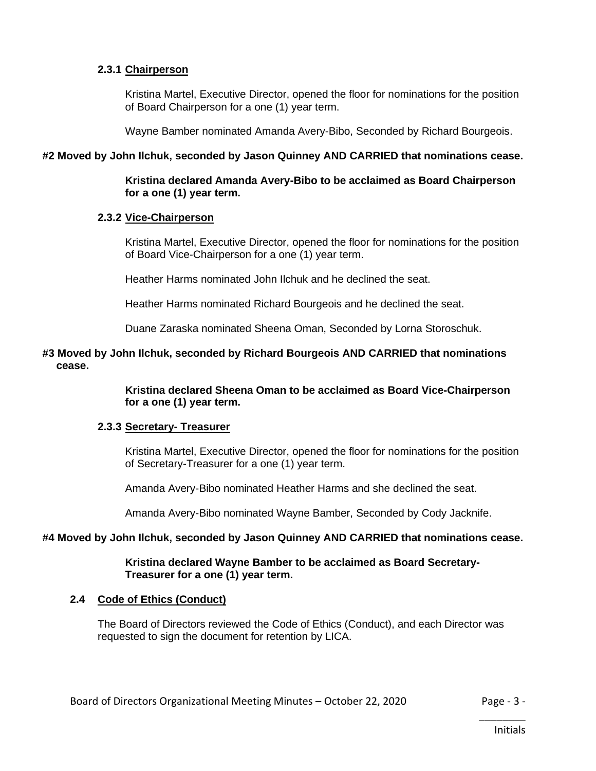#### **2.3.1 Chairperson**

Kristina Martel, Executive Director, opened the floor for nominations for the position of Board Chairperson for a one (1) year term.

Wayne Bamber nominated Amanda Avery-Bibo, Seconded by Richard Bourgeois.

#### **#2 Moved by John Ilchuk, seconded by Jason Quinney AND CARRIED that nominations cease.**

#### **Kristina declared Amanda Avery-Bibo to be acclaimed as Board Chairperson for a one (1) year term.**

#### **2.3.2 Vice-Chairperson**

Kristina Martel, Executive Director, opened the floor for nominations for the position of Board Vice-Chairperson for a one (1) year term.

Heather Harms nominated John Ilchuk and he declined the seat.

Heather Harms nominated Richard Bourgeois and he declined the seat.

Duane Zaraska nominated Sheena Oman, Seconded by Lorna Storoschuk.

## **#3 Moved by John Ilchuk, seconded by Richard Bourgeois AND CARRIED that nominations cease.**

**Kristina declared Sheena Oman to be acclaimed as Board Vice-Chairperson for a one (1) year term.**

#### **2.3.3 Secretary- Treasurer**

Kristina Martel, Executive Director, opened the floor for nominations for the position of Secretary-Treasurer for a one (1) year term.

Amanda Avery-Bibo nominated Heather Harms and she declined the seat.

Amanda Avery-Bibo nominated Wayne Bamber, Seconded by Cody Jacknife.

## **#4 Moved by John Ilchuk, seconded by Jason Quinney AND CARRIED that nominations cease.**

#### **Kristina declared Wayne Bamber to be acclaimed as Board Secretary-Treasurer for a one (1) year term.**

#### **2.4 Code of Ethics (Conduct)**

The Board of Directors reviewed the Code of Ethics (Conduct), and each Director was requested to sign the document for retention by LICA.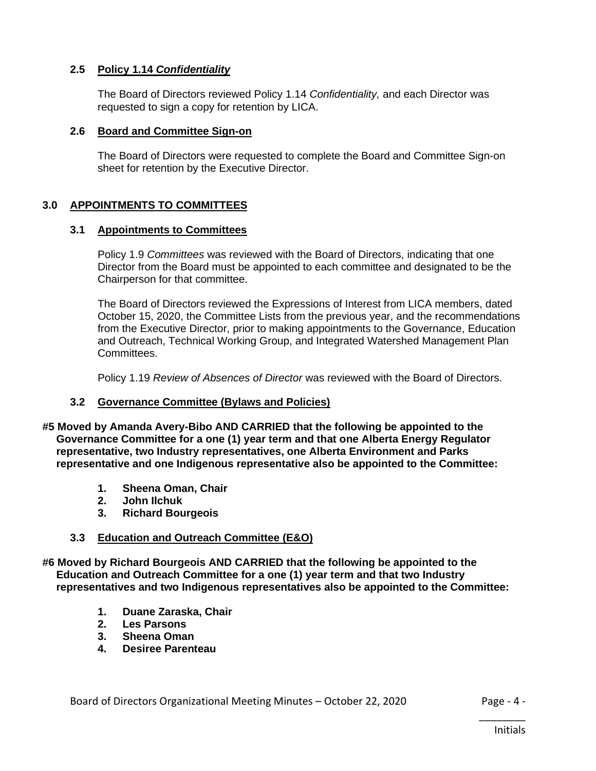## **2.5 Policy 1.14** *Confidentiality*

The Board of Directors reviewed Policy 1.14 *Confidentiality,* and each Director was requested to sign a copy for retention by LICA.

#### **2.6 Board and Committee Sign-on**

The Board of Directors were requested to complete the Board and Committee Sign-on sheet for retention by the Executive Director.

## **3.0 APPOINTMENTS TO COMMITTEES**

#### **3.1 Appointments to Committees**

Policy 1.9 *Committees* was reviewed with the Board of Directors, indicating that one Director from the Board must be appointed to each committee and designated to be the Chairperson for that committee.

The Board of Directors reviewed the Expressions of Interest from LICA members, dated October 15, 2020, the Committee Lists from the previous year, and the recommendations from the Executive Director, prior to making appointments to the Governance, Education and Outreach, Technical Working Group, and Integrated Watershed Management Plan Committees.

Policy 1.19 *Review of Absences of Director* was reviewed with the Board of Directors.

#### **3.2 Governance Committee (Bylaws and Policies)**

**#5 Moved by Amanda Avery-Bibo AND CARRIED that the following be appointed to the Governance Committee for a one (1) year term and that one Alberta Energy Regulator representative, two Industry representatives, one Alberta Environment and Parks representative and one Indigenous representative also be appointed to the Committee:**

- **1. Sheena Oman, Chair**
- **2. John Ilchuk**
- **3. Richard Bourgeois**

#### **3.3 Education and Outreach Committee (E&O)**

**#6 Moved by Richard Bourgeois AND CARRIED that the following be appointed to the Education and Outreach Committee for a one (1) year term and that two Industry representatives and two Indigenous representatives also be appointed to the Committee:**

- **1. Duane Zaraska, Chair**
- **2. Les Parsons**
- **3. Sheena Oman**
- **4. Desiree Parenteau**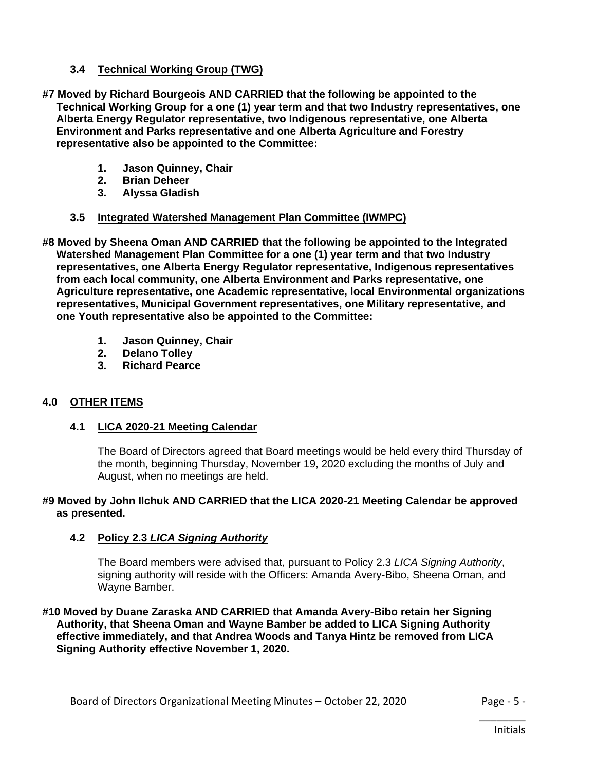## **3.4 Technical Working Group (TWG)**

- **#7 Moved by Richard Bourgeois AND CARRIED that the following be appointed to the Technical Working Group for a one (1) year term and that two Industry representatives, one Alberta Energy Regulator representative, two Indigenous representative, one Alberta Environment and Parks representative and one Alberta Agriculture and Forestry representative also be appointed to the Committee:**
	- **1. Jason Quinney, Chair**
	- **2. Brian Deheer**
	- **3. Alyssa Gladish**

## **3.5 Integrated Watershed Management Plan Committee (IWMPC)**

- **#8 Moved by Sheena Oman AND CARRIED that the following be appointed to the Integrated Watershed Management Plan Committee for a one (1) year term and that two Industry representatives, one Alberta Energy Regulator representative, Indigenous representatives from each local community, one Alberta Environment and Parks representative, one Agriculture representative, one Academic representative, local Environmental organizations representatives, Municipal Government representatives, one Military representative, and one Youth representative also be appointed to the Committee:**
	- **1. Jason Quinney, Chair**
	- **2. Delano Tolley**
	- **3. Richard Pearce**

## **4.0 OTHER ITEMS**

## **4.1 LICA 2020-21 Meeting Calendar**

The Board of Directors agreed that Board meetings would be held every third Thursday of the month, beginning Thursday, November 19, 2020 excluding the months of July and August, when no meetings are held.

## **#9 Moved by John Ilchuk AND CARRIED that the LICA 2020-21 Meeting Calendar be approved as presented.**

## **4.2 Policy 2.3** *LICA Signing Authority*

The Board members were advised that, pursuant to Policy 2.3 *LICA Signing Authority*, signing authority will reside with the Officers: Amanda Avery-Bibo, Sheena Oman, and Wayne Bamber.

**#10 Moved by Duane Zaraska AND CARRIED that Amanda Avery-Bibo retain her Signing Authority, that Sheena Oman and Wayne Bamber be added to LICA Signing Authority effective immediately, and that Andrea Woods and Tanya Hintz be removed from LICA Signing Authority effective November 1, 2020.**